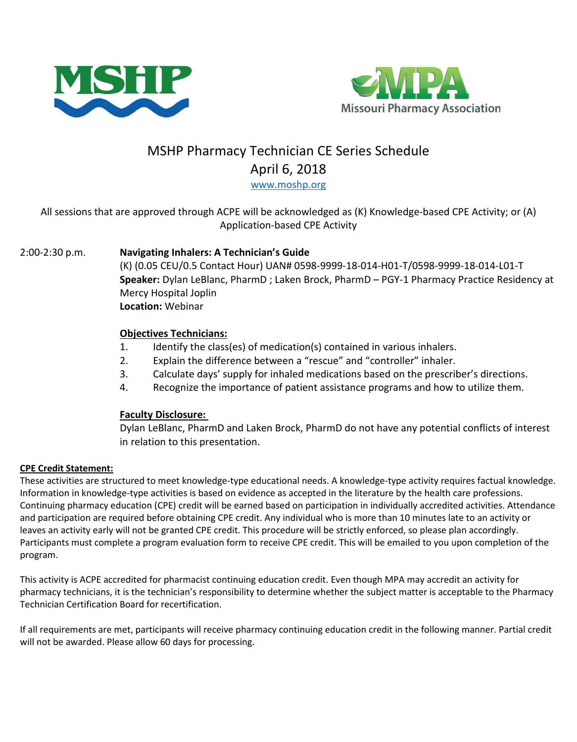



# MSHP Pharmacy Technician CE Series Schedule April 6, 2018

[www.moshp.org](http://www.moshp.org/)

# All sessions that are approved through ACPE will be acknowledged as (K) Knowledge-based CPE Activity; or (A) Application-based CPE Activity

# 2:00-2:30 p.m. **Navigating Inhalers: A Technician's Guide**

(K) (0.05 CEU/0.5 Contact Hour) UAN# 0598-9999-18-014-H01-T/0598-9999-18-014-L01-T **Speaker:** Dylan LeBlanc, PharmD ; Laken Brock, PharmD – PGY-1 Pharmacy Practice Residency at Mercy Hospital Joplin **Location:** Webinar

### **Objectives Technicians:**

- 1. Identify the class(es) of medication(s) contained in various inhalers.
- 2. Explain the difference between a "rescue" and "controller" inhaler.
- 3. Calculate days' supply for inhaled medications based on the prescriber's directions.
- 4. Recognize the importance of patient assistance programs and how to utilize them.

### **Faculty Disclosure:**

Dylan LeBlanc, PharmD and Laken Brock, PharmD do not have any potential conflicts of interest in relation to this presentation.

### **CPE Credit Statement:**

These activities are structured to meet knowledge-type educational needs. A knowledge-type activity requires factual knowledge. Information in knowledge-type activities is based on evidence as accepted in the literature by the health care professions. Continuing pharmacy education (CPE) credit will be earned based on participation in individually accredited activities. Attendance and participation are required before obtaining CPE credit. Any individual who is more than 10 minutes late to an activity or leaves an activity early will not be granted CPE credit. This procedure will be strictly enforced, so please plan accordingly. Participants must complete a program evaluation form to receive CPE credit. This will be emailed to you upon completion of the program.

This activity is ACPE accredited for pharmacist continuing education credit. Even though MPA may accredit an activity for pharmacy technicians, it is the technician's responsibility to determine whether the subject matter is acceptable to the Pharmacy Technician Certification Board for recertification.

If all requirements are met, participants will receive pharmacy continuing education credit in the following manner. Partial credit will not be awarded. Please allow 60 days for processing.